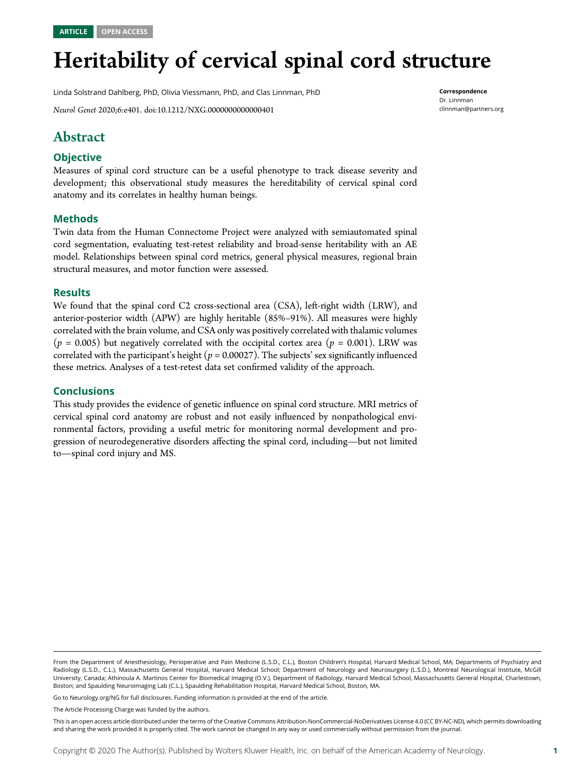# <span id="page-0-0"></span>Heritability of cervical spinal cord structure

Linda Solstrand Dahlberg, PhD, Olivia Viessmann, PhD, and Clas Linnman, PhD

Neurol Genet 2020;6:e401. doi:[10.1212/NXG.0000000000000401](http://dx.doi.org/10.1212/NXG.0000000000000401)

Correspondence Dr. Linnman [clinnman@partners.org](mailto:clinnman@partners.org)

# Abstract

# **Objective**

Measures of spinal cord structure can be a useful phenotype to track disease severity and development; this observational study measures the hereditability of cervical spinal cord anatomy and its correlates in healthy human beings.

# Methods

Twin data from the Human Connectome Project were analyzed with semiautomated spinal cord segmentation, evaluating test-retest reliability and broad-sense heritability with an AE model. Relationships between spinal cord metrics, general physical measures, regional brain structural measures, and motor function were assessed.

### **Results**

We found that the spinal cord C2 cross-sectional area (CSA), left-right width (LRW), and anterior-posterior width (APW) are highly heritable (85%–91%). All measures were highly correlated with the brain volume, and CSA only was positively correlated with thalamic volumes  $(p = 0.005)$  but negatively correlated with the occipital cortex area  $(p = 0.001)$ . LRW was correlated with the participant's height ( $p = 0.00027$ ). The subjects' sex significantly influenced these metrics. Analyses of a test-retest data set confirmed validity of the approach.

# Conclusions

This study provides the evidence of genetic influence on spinal cord structure. MRI metrics of cervical spinal cord anatomy are robust and not easily influenced by nonpathological environmental factors, providing a useful metric for monitoring normal development and progression of neurodegenerative disorders affecting the spinal cord, including—but not limited to—spinal cord injury and MS.

Go to [Neurology.org/NG](https://ng.neurology.org/content/6/2/e401/tab-article-info) for full disclosures. Funding information is provided at the end of the article.

The Article Processing Charge was funded by the authors.

This is an open access article distributed under the terms of the [Creative Commons Attribution-NonCommercial-NoDerivatives License 4.0 \(CC BY-NC-ND\),](http://creativecommons.org/licenses/by-nc-nd/4.0/) which permits downloading and sharing the work provided it is properly cited. The work cannot be changed in any way or used commercially without permission from the journal.

From the Department of Anesthesiology, Perioperative and Pain Medicine (L.S.D., C.L.), Boston Children's Hospital, Harvard Medical School, MA; Departments of Psychiatry and Radiology (L.S.D., C.L.), Massachusetts General Hospital, Harvard Medical School; Department of Neurology and Neurosurgery (L.S.D.), Montreal Neurological Institute, McGill University, Canada; Athinoula A. Martinos Center for Biomedical Imaging (O.V.), Department of Radiology, Harvard Medical School, Massachusetts General Hospital, Charlestown, Boston; and Spaulding Neuroimaging Lab (C.L.), Spaulding Rehabilitation Hospital, Harvard Medical School, Boston, MA.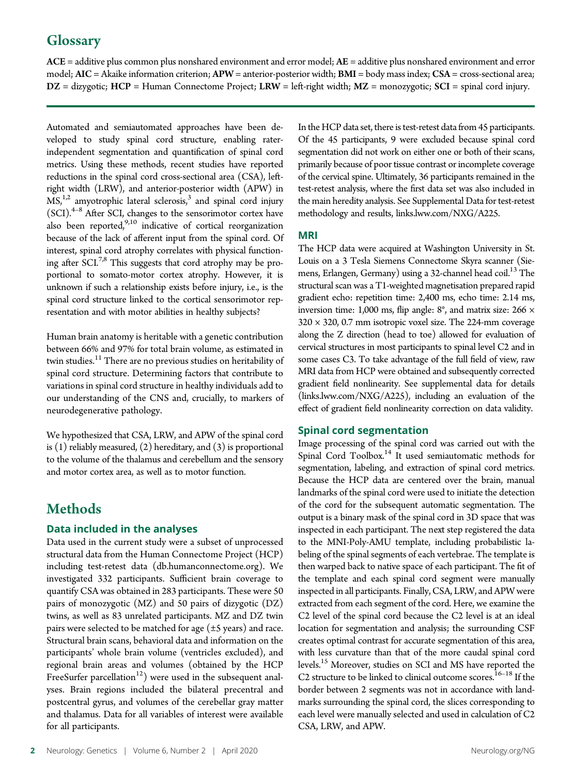# **Glossary**

 $ACE = additive$  plus common plus nonshared environment and error model;  $AE =$  additive plus nonshared environment and error model; AIC = Akaike information criterion; APW = anterior-posterior width; BMI = body mass index; CSA = cross-sectional area; DZ = dizygotic; HCP = Human Connectome Project; LRW = left-right width; MZ = monozygotic; SCI = spinal cord injury.

Automated and semiautomated approaches have been developed to study spinal cord structure, enabling raterindependent segmentation and quantification of spinal cord metrics. Using these methods, recent studies have reported reductions in the spinal cord cross-sectional area (CSA), leftright width (LRW), and anterior-posterior width (APW) in  $MS<sub>1</sub><sup>1,2</sup>$  amyotrophic lateral sclerosis,<sup>3</sup> and spinal cord injury  $(SCI).<sup>4–8</sup>$  After SCI, changes to the sensorimotor cortex have also been reported, $9,10$  indicative of cortical reorganization because of the lack of afferent input from the spinal cord. Of interest, spinal cord atrophy correlates with physical functioning after SCI.<sup>7,8</sup> This suggests that cord atrophy may be proportional to somato-motor cortex atrophy. However, it is unknown if such a relationship exists before injury, i.e., is the spinal cord structure linked to the cortical sensorimotor representation and with motor abilities in healthy subjects?

Human brain anatomy is heritable with a genetic contribution between 66% and 97% for total brain volume, as estimated in twin studies.<sup>11</sup> There are no previous studies on heritability of spinal cord structure. Determining factors that contribute to variations in spinal cord structure in healthy individuals add to our understanding of the CNS and, crucially, to markers of neurodegenerative pathology.

We hypothesized that CSA, LRW, and APW of the spinal cord is (1) reliably measured, (2) hereditary, and (3) is proportional to the volume of the thalamus and cerebellum and the sensory and motor cortex area, as well as to motor function.

# Methods

# Data included in the analyses

Data used in the current study were a subset of unprocessed structural data from the Human Connectome Project (HCP) including test-retest data [\(db.humanconnectome.org](https://db.humanconnectome.org/)). We investigated 332 participants. Sufficient brain coverage to quantify CSA was obtained in 283 participants. These were 50 pairs of monozygotic (MZ) and 50 pairs of dizygotic (DZ) twins, as well as 83 unrelated participants. MZ and DZ twin pairs were selected to be matched for age (±5 years) and race. Structural brain scans, behavioral data and information on the participants' whole brain volume (ventricles excluded), and regional brain areas and volumes (obtained by the HCP FreeSurfer parcellation<sup>12</sup>) were used in the subsequent analyses. Brain regions included the bilateral precentral and postcentral gyrus, and volumes of the cerebellar gray matter and thalamus. Data for all variables of interest were available for all participants.

In the HCP data set, there is test-retest data from 45 participants. Of the 45 participants, 9 were excluded because spinal cord segmentation did not work on either one or both of their scans, primarily because of poor tissue contrast or incomplete coverage of the cervical spine. Ultimately, 36 participants remained in the test-retest analysis, where the first data set was also included in the main heredity analysis. See Supplemental Data for test-retest methodology and results, [links.lww.com/NXG/A225](http://links.lww.com/NXG/A225).

# MRI

The HCP data were acquired at Washington University in St. Louis on a 3 Tesla Siemens Connectome Skyra scanner (Siemens, Erlangen, Germany) using a 32-channel head coil.<sup>13</sup> The structural scan was a T1-weighted magnetisation prepared rapid gradient echo: repetition time: 2,400 ms, echo time: 2.14 ms, inversion time: 1,000 ms, flip angle: 8°, and matrix size: 266 ×  $320 \times 320$ , 0.7 mm isotropic voxel size. The 224-mm coverage along the Z direction (head to toe) allowed for evaluation of cervical structures in most participants to spinal level C2 and in some cases C3. To take advantage of the full field of view, raw MRI data from HCP were obtained and subsequently corrected gradient field nonlinearity. See supplemental data for details [\(links.lww.com/NXG/A225\)](http://links.lww.com/NXG/A225), including an evaluation of the effect of gradient field nonlinearity correction on data validity.

# Spinal cord segmentation

Image processing of the spinal cord was carried out with the Spinal Cord Toolbox.<sup>14</sup> It used semiautomatic methods for segmentation, labeling, and extraction of spinal cord metrics. Because the HCP data are centered over the brain, manual landmarks of the spinal cord were used to initiate the detection of the cord for the subsequent automatic segmentation. The output is a binary mask of the spinal cord in 3D space that was inspected in each participant. The next step registered the data to the MNI-Poly-AMU template, including probabilistic labeling of the spinal segments of each vertebrae. The template is then warped back to native space of each participant. The fit of the template and each spinal cord segment were manually inspected in all participants. Finally, CSA, LRW, and APW were extracted from each segment of the cord. Here, we examine the C2 level of the spinal cord because the C2 level is at an ideal location for segmentation and analysis; the surrounding CSF creates optimal contrast for accurate segmentation of this area, with less curvature than that of the more caudal spinal cord levels.<sup>15</sup> Moreover, studies on SCI and MS have reported the C2 structure to be linked to clinical outcome scores.<sup>16–18</sup> If the border between 2 segments was not in accordance with landmarks surrounding the spinal cord, the slices corresponding to each level were manually selected and used in calculation of C2 CSA, LRW, and APW.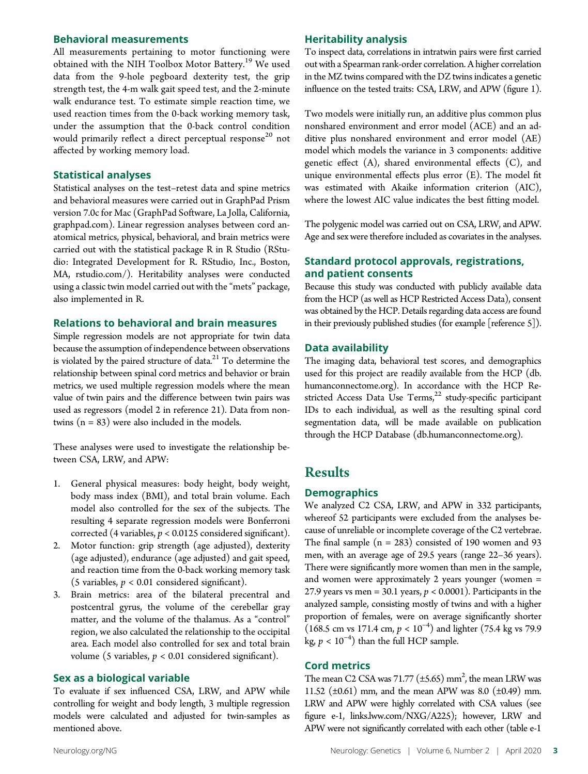# Behavioral measurements

All measurements pertaining to motor functioning were obtained with the NIH Toolbox Motor Battery.<sup>19</sup> We used data from the 9-hole pegboard dexterity test, the grip strength test, the 4-m walk gait speed test, and the 2-minute walk endurance test. To estimate simple reaction time, we used reaction times from the 0-back working memory task, under the assumption that the 0-back control condition would primarily reflect a direct perceptual response<sup>20</sup> not affected by working memory load.

### Statistical analyses

Statistical analyses on the test–retest data and spine metrics and behavioral measures were carried out in GraphPad Prism version 7.0c for Mac (GraphPad Software, La Jolla, California, [graphpad.com\)](http://www.graphpad.com). Linear regression analyses between cord anatomical metrics, physical, behavioral, and brain metrics were carried out with the statistical package R in R Studio (RStudio: Integrated Development for R. RStudio, Inc., Boston, MA, [rstudio.com/](http://www.rstudio.com/)). Heritability analyses were conducted using a classic twin model carried out with the "mets" package, also implemented in R.

# Relations to behavioral and brain measures

Simple regression models are not appropriate for twin data because the assumption of independence between observations is violated by the paired structure of data.<sup>21</sup> To determine the relationship between spinal cord metrics and behavior or brain metrics, we used multiple regression models where the mean value of twin pairs and the difference between twin pairs was used as regressors (model 2 in reference 21). Data from nontwins  $(n = 83)$  were also included in the models.

These analyses were used to investigate the relationship between CSA, LRW, and APW:

- General physical measures: body height, body weight, body mass index (BMI), and total brain volume. Each model also controlled for the sex of the subjects. The resulting 4 separate regression models were Bonferroni corrected (4 variables,  $p < 0.0125$  considered significant).
- 2. Motor function: grip strength (age adjusted), dexterity (age adjusted), endurance (age adjusted) and gait speed, and reaction time from the 0-back working memory task (5 variables,  $p < 0.01$  considered significant).
- 3. Brain metrics: area of the bilateral precentral and postcentral gyrus, the volume of the cerebellar gray matter, and the volume of the thalamus. As a "control" region, we also calculated the relationship to the occipital area. Each model also controlled for sex and total brain volume (5 variables,  $p < 0.01$  considered significant).

### Sex as a biological variable

To evaluate if sex influenced CSA, LRW, and APW while controlling for weight and body length, 3 multiple regression models were calculated and adjusted for twin-samples as mentioned above.

# Heritability analysis

To inspect data, correlations in intratwin pairs were first carried out with a Spearman rank-order correlation. A higher correlation in the MZ twins compared with the DZ twins indicates a genetic influence on the tested traits: CSA, LRW, and APW (figure 1).

Two models were initially run, an additive plus common plus nonshared environment and error model (ACE) and an additive plus nonshared environment and error model (AE) model which models the variance in 3 components: additive genetic effect (A), shared environmental effects (C), and unique environmental effects plus error (E). The model fit was estimated with Akaike information criterion (AIC), where the lowest AIC value indicates the best fitting model.

The polygenic model was carried out on CSA, LRW, and APW. Age and sex were therefore included as covariates in the analyses.

# Standard protocol approvals, registrations, and patient consents

Because this study was conducted with publicly available data from the HCP (as well as HCP Restricted Access Data), consent was obtained by the HCP. Details regarding data access are found in their previously published studies (for example [reference 5]).

## Data availability

The imaging data, behavioral test scores, and demographics used for this project are readily available from the HCP [\(db.](https://db.humanconnectome.org/) [humanconnectome.org\)](https://db.humanconnectome.org/). In accordance with the HCP Restricted Access Data Use Terms,<sup>22</sup> study-specific participant IDs to each individual, as well as the resulting spinal cord segmentation data, will be made available on publication through the HCP Database [\(db.humanconnectome.org](https://db.humanconnectome.org/)).

# Results

# Demographics

We analyzed C2 CSA, LRW, and APW in 332 participants, whereof 52 participants were excluded from the analyses because of unreliable or incomplete coverage of the C2 vertebrae. The final sample  $(n = 283)$  consisted of 190 women and 93 men, with an average age of 29.5 years (range 22–36 years). There were significantly more women than men in the sample, and women were approximately 2 years younger (women = 27.9 years vs men = 30.1 years,  $p < 0.0001$ ). Participants in the analyzed sample, consisting mostly of twins and with a higher proportion of females, were on average significantly shorter (168.5 cm vs 171.4 cm,  $p < 10^{-4}$ ) and lighter (75.4 kg vs 79.9)<br>kg n  $\le 10^{-4}$ ) than the full HCP sample  $kg, p < 10^{-4}$ ) than the full HCP sample.

# Cord metrics

The mean C2 CSA was  $71.77 \, (\pm 5.65) \, \text{mm}^2$ , the mean LRW was 11.52 ( $\pm 0.61$ ) mm, and the mean APW was 8.0 ( $\pm 0.49$ ) mm. LRW and APW were highly correlated with CSA values (see figure e-1, [links.lww.com/NXG/A225](http://links.lww.com/NXG/A225)); however, LRW and APW were not significantly correlated with each other (table e-1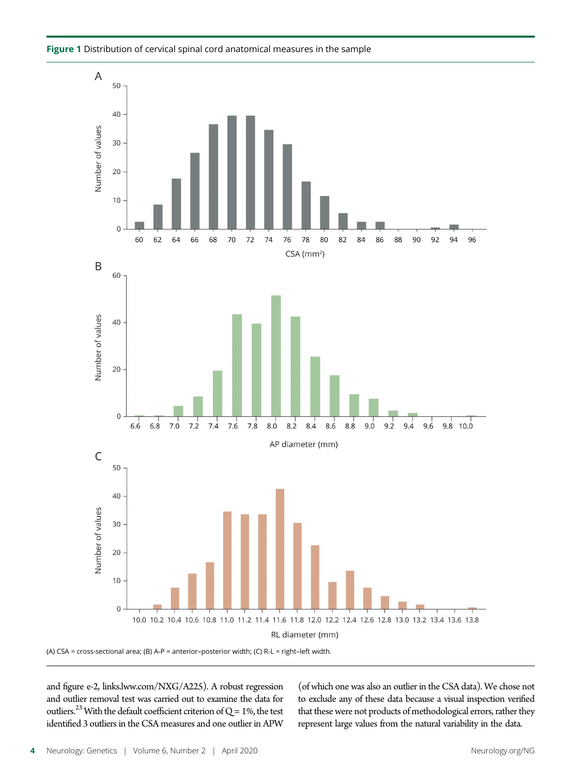



(A) CSA = cross-sectional area; (B) A-P = anterior–posterior width; (C) R-L = right–left width.

and figure e-2, [links.lww.com/NXG/A225\)](http://links.lww.com/NXG/A225). A robust regression and outlier removal test was carried out to examine the data for outliers.<sup>23</sup> With the default coefficient criterion of  $Q = 1\%$ , the test identified 3 outliers in the CSA measures and one outlier in APW

(of which one was also an outlier in the CSA data). We chose not to exclude any of these data because a visual inspection verified that these were not products of methodological errors, rather they represent large values from the natural variability in the data.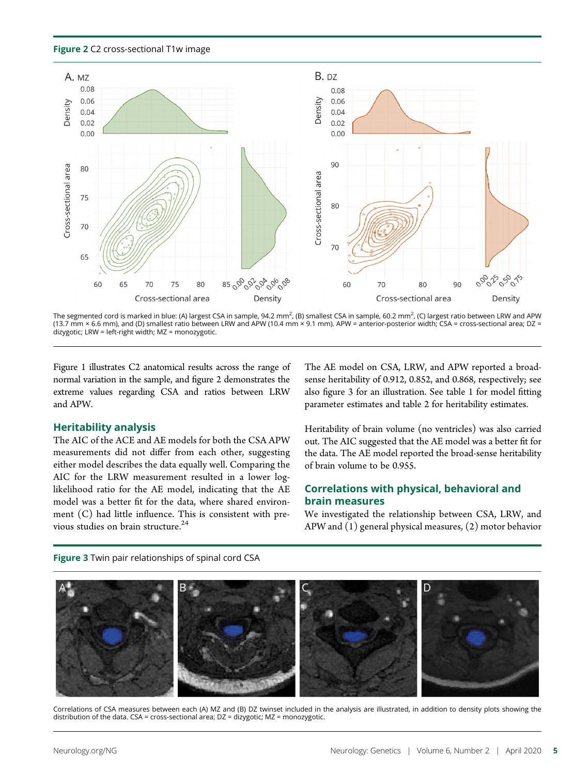Figure 2 C2 cross-sectional T1w image



The segmented cord is marked in blue: (A) largest CSA in sample, 94.2 mm $^2$ , (B) smallest CSA in sample, 60.2 mm $^2$ , (C) largest ratio between LRW and APW (13.7 mm × 6.6 mm), and (D) smallest ratio between LRW and APW (10.4 mm × 9.1 mm). APW = anterior-posterior width; CSA = cross-sectional area; DZ = dizygotic; LRW = left-right width; MZ = monozygotic.

Figure 1 illustrates C2 anatomical results across the range of normal variation in the sample, and figure 2 demonstrates the extreme values regarding CSA and ratios between LRW and APW.

# Heritability analysis

The AIC of the ACE and AE models for both the CSA APW measurements did not differ from each other, suggesting either model describes the data equally well. Comparing the AIC for the LRW measurement resulted in a lower loglikelihood ratio for the AE model, indicating that the AE model was a better fit for the data, where shared environment (C) had little influence. This is consistent with previous studies on brain structure.<sup>24</sup>

The AE model on CSA, LRW, and APW reported a broadsense heritability of 0.912, 0.852, and 0.868, respectively; see also figure 3 for an illustration. See table 1 for model fitting parameter estimates and table 2 for heritability estimates.

Heritability of brain volume (no ventricles) was also carried out. The AIC suggested that the AE model was a better fit for the data. The AE model reported the broad-sense heritability of brain volume to be 0.955.

# Correlations with physical, behavioral and brain measures

We investigated the relationship between CSA, LRW, and APW and (1) general physical measures, (2) motor behavior





Correlations of CSA measures between each (A) MZ and (B) DZ twinset included in the analysis are illustrated, in addition to density plots showing the distribution of the data. CSA = cross-sectional area; DZ = dizygotic; MZ = monozygotic.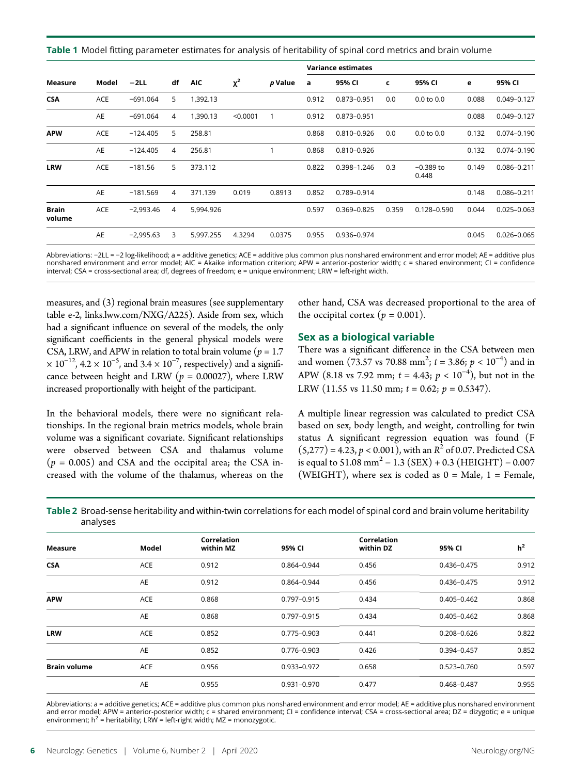Table 1 Model fitting parameter estimates for analysis of heritability of spinal cord metrics and brain volume

| Measure                | Model      | $-2LL$      | df | <b>AIC</b> | $x^2$    | p Value | <b>Variance estimates</b> |             |       |                      |       |                 |
|------------------------|------------|-------------|----|------------|----------|---------|---------------------------|-------------|-------|----------------------|-------|-----------------|
|                        |            |             |    |            |          |         | a                         | 95% CI      | c     | 95% CI               | e     | 95% CI          |
| <b>CSA</b>             | ACE        | $-691.064$  | 5  | 1,392.13   |          |         | 0.912                     | 0.873-0.951 | 0.0   | $0.0$ to $0.0$       | 0.088 | 0.049-0.127     |
|                        | AE         | $-691.064$  | 4  | 1,390.13   | < 0.0001 | 1       | 0.912                     | 0.873-0.951 |       |                      | 0.088 | 0.049-0.127     |
| <b>APW</b>             | <b>ACE</b> | $-124.405$  | 5  | 258.81     |          |         | 0.868                     | 0.810-0.926 | 0.0   | $0.0$ to $0.0$       | 0.132 | 0.074-0.190     |
|                        | AE         | $-124.405$  | 4  | 256.81     |          |         | 0.868                     | 0.810-0.926 |       |                      | 0.132 | 0.074-0.190     |
| <b>LRW</b>             | <b>ACE</b> | $-181.56$   | 5  | 373.112    |          |         | 0.822                     | 0.398-1.246 | 0.3   | $-0.389$ to<br>0.448 | 0.149 | $0.086 - 0.211$ |
|                        | AE         | $-181.569$  | 4  | 371.139    | 0.019    | 0.8913  | 0.852                     | 0.789-0.914 |       |                      | 0.148 | 0.086-0.211     |
| <b>Brain</b><br>volume | <b>ACE</b> | $-2,993.46$ | 4  | 5.994.926  |          |         | 0.597                     | 0.369-0.825 | 0.359 | 0.128-0.590          | 0.044 | $0.025 - 0.063$ |
|                        | AE         | $-2,995.63$ | 3  | 5,997.255  | 4.3294   | 0.0375  | 0.955                     | 0.936-0.974 |       |                      | 0.045 | $0.026 - 0.065$ |

Abbreviations: −2LL = −2 log-likelihood; a = additive genetics; ACE = additive plus common plus nonshared environment and error model; AE = additive plus nonshared environment and error model; AIC = Akaike information criterion; APW = anterior-posterior width; c = shared environment; CI = confidence interval; CSA = cross-sectional area; df, degrees of freedom; e = unique environment; LRW = left-right width.

measures, and (3) regional brain measures (see supplementary table e-2, [links.lww.com/NXG/A225\)](http://links.lww.com/NXG/A225). Aside from sex, which had a significant influence on several of the models, the only significant coefficients in the general physical models were CSA, LRW, and APW in relation to total brain volume ( $p = 1.7$  $\times$  10<sup>-12</sup>, 4.2  $\times$  10<sup>-5</sup>, and 3.4  $\times$  10<sup>-7</sup>, respectively) and a significance between height and LRW ( $p = 0.00027$ ), where LRW increased proportionally with height of the participant.

In the behavioral models, there were no significant relationships. In the regional brain metrics models, whole brain volume was a significant covariate. Significant relationships were observed between CSA and thalamus volume  $(p = 0.005)$  and CSA and the occipital area; the CSA increased with the volume of the thalamus, whereas on the other hand, CSA was decreased proportional to the area of the occipital cortex ( $p = 0.001$ ).

# Sex as a biological variable

There was a significant difference in the CSA between men and women  $(73.57 \text{ vs } 70.88 \text{ mm}^2; t = 3.86; p < 10^{-4})$  and in APW (8.18 vs 7.92 mm;  $t = 4.43$ ;  $p < 10^{-4}$ ), but not in the LRW (11.55 vs 11.50 mm;  $t = 0.62$ ;  $p = 0.5347$ ).

A multiple linear regression was calculated to predict CSA based on sex, body length, and weight, controlling for twin status A significant regression equation was found (F  $(5,277) = 4.23, p < 0.001$ , with an  $R^2$  of 0.07. Predicted CSA is equal to  $51.08$  mm<sup>2</sup> – 1.3 (SEX) + 0.3 (HEIGHT) – 0.007 (WEIGHT), where sex is coded as  $0 =$  Male,  $1 =$  Female,

| Measure             | Model      | <b>Correlation</b><br>within MZ | 95% CI          | Correlation<br>within DZ | 95% CI      | h <sup>2</sup> |
|---------------------|------------|---------------------------------|-----------------|--------------------------|-------------|----------------|
| <b>CSA</b>          | <b>ACE</b> | 0.912                           | 0.864-0.944     | 0.456                    | 0.436-0.475 | 0.912          |
|                     | AE         | 0.912                           | 0.864-0.944     | 0.456                    | 0.436-0.475 | 0.912          |
| <b>APW</b>          | ACE        | 0.868                           | 0.797-0.915     | 0.434                    | 0.405-0.462 | 0.868          |
|                     | AE         | 0.868                           | 0.797-0.915     | 0.434                    | 0.405-0.462 | 0.868          |
| <b>LRW</b>          | ACE        | 0.852                           | $0.775 - 0.903$ | 0.441                    | 0.208-0.626 | 0.822          |
|                     | AE         | 0.852                           | 0.776-0.903     | 0.426                    | 0.394-0.457 | 0.852          |
| <b>Brain volume</b> | <b>ACE</b> | 0.956                           | 0.933-0.972     | 0.658                    | 0.523-0.760 | 0.597          |
|                     | AE         | 0.955                           | $0.931 - 0.970$ | 0.477                    | 0.468-0.487 | 0.955          |
|                     |            |                                 |                 |                          |             |                |

Table 2 Broad-sense heritability and within-twin correlations for each model of spinal cord and brain volume heritability analyses

Abbreviations: a = additive genetics; ACE = additive plus common plus nonshared environment and error model; AE = additive plus nonshared environment and error model; APW = anterior-posterior width; c = shared environment; CI = confidence interval; CSA = cross-sectional area; DZ = dizygotic; e = unique environment;  $h^2$  = heritability; LRW = left-right width; MZ = monozygotic.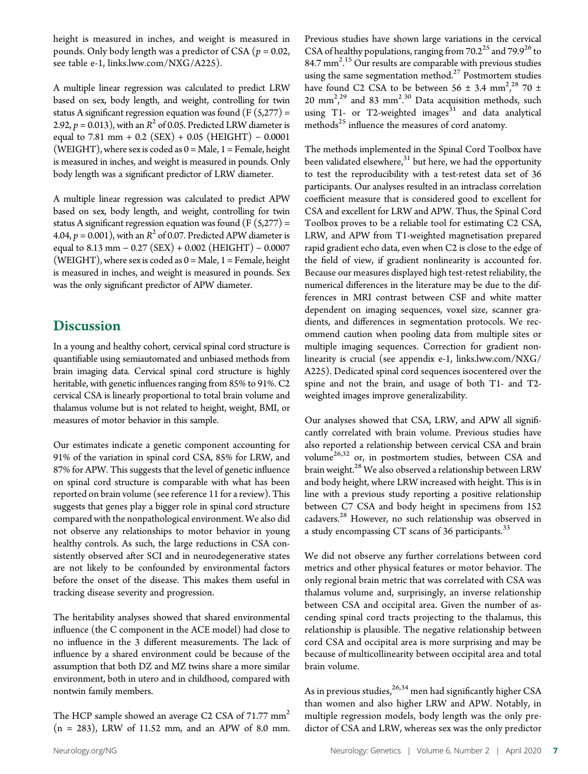height is measured in inches, and weight is measured in pounds. Only body length was a predictor of CSA ( $p = 0.02$ , see table e-1, [links.lww.com/NXG/A225](http://links.lww.com/NXG/A225)).

A multiple linear regression was calculated to predict LRW based on sex, body length, and weight, controlling for twin status A significant regression equation was found (F  $(5,277)$  = 2.92,  $p = 0.013$ ), with an  $R^2$  of 0.05. Predicted LRW diameter is equal to 7.81 mm + 0.2 (SEX) + 0.05 (HEIGHT) − 0.0001 (WEIGHT), where sex is coded as  $0 =$  Male,  $1 =$  Female, height is measured in inches, and weight is measured in pounds. Only body length was a significant predictor of LRW diameter.

A multiple linear regression was calculated to predict APW based on sex, body length, and weight, controlling for twin status A significant regression equation was found (F  $(5,277)$  = 4.04,  $p = 0.001$ ), with an  $R^2$  of 0.07. Predicted APW diameter is equal to 8.13 mm  $-$  0.27 (SEX) + 0.002 (HEIGHT)  $-$  0.0007 (WEIGHT), where sex is coded as  $0 =$  Male,  $1 =$  Female, height is measured in inches, and weight is measured in pounds. Sex was the only significant predictor of APW diameter.

# **Discussion**

In a young and healthy cohort, cervical spinal cord structure is quantifiable using semiautomated and unbiased methods from brain imaging data. Cervical spinal cord structure is highly heritable, with genetic influences ranging from 85% to 91%. C2 cervical CSA is linearly proportional to total brain volume and thalamus volume but is not related to height, weight, BMI, or measures of motor behavior in this sample.

Our estimates indicate a genetic component accounting for 91% of the variation in spinal cord CSA, 85% for LRW, and 87% for APW. This suggests that the level of genetic influence on spinal cord structure is comparable with what has been reported on brain volume (see reference 11 for a review). This suggests that genes play a bigger role in spinal cord structure compared with the nonpathological environment. We also did not observe any relationships to motor behavior in young healthy controls. As such, the large reductions in CSA consistently observed after SCI and in neurodegenerative states are not likely to be confounded by environmental factors before the onset of the disease. This makes them useful in tracking disease severity and progression.

The heritability analyses showed that shared environmental influence (the C component in the ACE model) had close to no influence in the 3 different measurements. The lack of influence by a shared environment could be because of the assumption that both DZ and MZ twins share a more similar environment, both in utero and in childhood, compared with nontwin family members.

The HCP sample showed an average C2 CSA of  $71.77 \text{ mm}^2$  $(n = 283)$ , LRW of 11.52 mm, and an APW of 8.0 mm.

Previous studies have shown large variations in the cervical CSA of healthy populations, ranging from  $70.2^{25}$  and  $79.9^{26}$  to 84.7 mm<sup>2</sup>.<sup>15</sup> Our results are comparable with previous studies . using the same segmentation method. $27$  Postmortem studies have found C2 CSA to be between  $56 \pm 3.4$  mm<sup>2</sup>,<sup>28</sup> 70  $\pm$ ,  $20 \text{ mm}^2$ , $29 \text{ and } 83 \text{ mm}^2$ . $30 \text{ Data acquisition methods, such}$ , . using T1- or T2-weighted images $31$  and data analytical methods $^{25}$  influence the measures of cord anatomy.

The methods implemented in the Spinal Cord Toolbox have been validated elsewhere, $31$  but here, we had the opportunity to test the reproducibility with a test-retest data set of 36 participants. Our analyses resulted in an intraclass correlation coefficient measure that is considered good to excellent for CSA and excellent for LRW and APW. Thus, the Spinal Cord Toolbox proves to be a reliable tool for estimating C2 CSA, LRW, and APW from T1-weighted magnetisation prepared rapid gradient echo data, even when C2 is close to the edge of the field of view, if gradient nonlinearity is accounted for. Because our measures displayed high test-retest reliability, the numerical differences in the literature may be due to the differences in MRI contrast between CSF and white matter dependent on imaging sequences, voxel size, scanner gradients, and differences in segmentation protocols. We recommend caution when pooling data from multiple sites or multiple imaging sequences. Correction for gradient nonlinearity is crucial (see appendix e-1, [links.lww.com/NXG/](http://links.lww.com/NXG/A225) [A225\)](http://links.lww.com/NXG/A225). Dedicated spinal cord sequences isocentered over the spine and not the brain, and usage of both T1- and T2 weighted images improve generalizability.

Our analyses showed that CSA, LRW, and APW all significantly correlated with brain volume. Previous studies have also reported a relationship between cervical CSA and brain volume<sup>26,32</sup> or, in postmortem studies, between CSA and brain weight.<sup>28</sup> We also observed a relationship between LRW and body height, where LRW increased with height. This is in line with a previous study reporting a positive relationship between C7 CSA and body height in specimens from 152 cadavers.<sup>28</sup> However, no such relationship was observed in a study encompassing CT scans of 36 participants.<sup>33</sup>

We did not observe any further correlations between cord metrics and other physical features or motor behavior. The only regional brain metric that was correlated with CSA was thalamus volume and, surprisingly, an inverse relationship between CSA and occipital area. Given the number of ascending spinal cord tracts projecting to the thalamus, this relationship is plausible. The negative relationship between cord CSA and occipital area is more surprising and may be because of multicollinearity between occipital area and total brain volume.

As in previous studies,  $^{26,34}$  men had significantly higher CSA than women and also higher LRW and APW. Notably, in multiple regression models, body length was the only predictor of CSA and LRW, whereas sex was the only predictor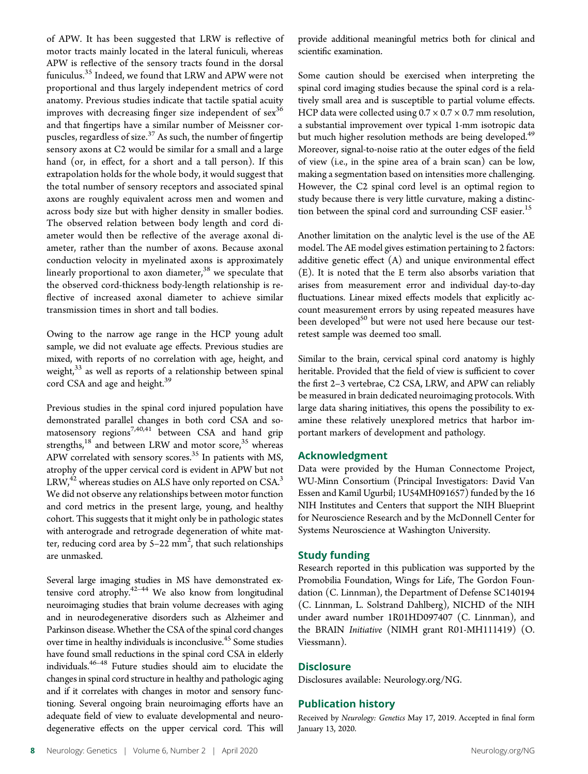of APW. It has been suggested that LRW is reflective of motor tracts mainly located in the lateral funiculi, whereas APW is reflective of the sensory tracts found in the dorsal funiculus.<sup>35</sup> Indeed, we found that LRW and APW were not proportional and thus largely independent metrics of cord anatomy. Previous studies indicate that tactile spatial acuity improves with decreasing finger size independent of  $sex<sup>36</sup>$ and that fingertips have a similar number of Meissner corpuscles, regardless of size.<sup>37</sup> As such, the number of fingertip sensory axons at C2 would be similar for a small and a large hand (or, in effect, for a short and a tall person). If this extrapolation holds for the whole body, it would suggest that the total number of sensory receptors and associated spinal axons are roughly equivalent across men and women and across body size but with higher density in smaller bodies. The observed relation between body length and cord diameter would then be reflective of the average axonal diameter, rather than the number of axons. Because axonal conduction velocity in myelinated axons is approximately linearly proportional to axon diameter, $38$  we speculate that the observed cord-thickness body-length relationship is reflective of increased axonal diameter to achieve similar transmission times in short and tall bodies.

Owing to the narrow age range in the HCP young adult sample, we did not evaluate age effects. Previous studies are mixed, with reports of no correlation with age, height, and weight,<sup>33</sup> as well as reports of a relationship between spinal cord CSA and age and height.<sup>39</sup>

Previous studies in the spinal cord injured population have demonstrated parallel changes in both cord CSA and somatosensory regions<sup>7,40,41</sup> between CSA and hand grip strengths, $^{18}$  and between LRW and motor score, $^{35}$  whereas APW correlated with sensory scores.<sup>35</sup> In patients with MS, atrophy of the upper cervical cord is evident in APW but not  $LRW,^{42}$  whereas studies on ALS have only reported on  $CSA.<sup>3</sup>$ We did not observe any relationships between motor function and cord metrics in the present large, young, and healthy cohort. This suggests that it might only be in pathologic states with anterograde and retrograde degeneration of white matter, reducing cord area by  $5-22$  mm<sup>2</sup>, that such relationships are unmasked.

Several large imaging studies in MS have demonstrated extensive cord atrophy. $42-44$  We also know from longitudinal neuroimaging studies that brain volume decreases with aging and in neurodegenerative disorders such as Alzheimer and Parkinson disease. Whether the CSA of the spinal cord changes over time in healthy individuals is inconclusive.<sup>45</sup> Some studies have found small reductions in the spinal cord CSA in elderly individuals.46–<sup>48</sup> Future studies should aim to elucidate the changes in spinal cord structure in healthy and pathologic aging and if it correlates with changes in motor and sensory functioning. Several ongoing brain neuroimaging efforts have an adequate field of view to evaluate developmental and neurodegenerative effects on the upper cervical cord. This will provide additional meaningful metrics both for clinical and scientific examination.

Some caution should be exercised when interpreting the spinal cord imaging studies because the spinal cord is a relatively small area and is susceptible to partial volume effects. HCP data were collected using  $0.7 \times 0.7 \times 0.7$  mm resolution, a substantial improvement over typical 1-mm isotropic data but much higher resolution methods are being developed.<sup>49</sup> Moreover, signal-to-noise ratio at the outer edges of the field of view (i.e., in the spine area of a brain scan) can be low, making a segmentation based on intensities more challenging. However, the C2 spinal cord level is an optimal region to study because there is very little curvature, making a distinction between the spinal cord and surrounding CSF easier.<sup>15</sup>

Another limitation on the analytic level is the use of the AE model. The AE model gives estimation pertaining to 2 factors: additive genetic effect (A) and unique environmental effect (E). It is noted that the E term also absorbs variation that arises from measurement error and individual day-to-day fluctuations. Linear mixed effects models that explicitly account measurement errors by using repeated measures have been developed<sup>50</sup> but were not used here because our testretest sample was deemed too small.

Similar to the brain, cervical spinal cord anatomy is highly heritable. Provided that the field of view is sufficient to cover the first 2–3 vertebrae, C2 CSA, LRW, and APW can reliably be measured in brain dedicated neuroimaging protocols. With large data sharing initiatives, this opens the possibility to examine these relatively unexplored metrics that harbor important markers of development and pathology.

## Acknowledgment

Data were provided by the Human Connectome Project, WU-Minn Consortium (Principal Investigators: David Van Essen and Kamil Ugurbil; 1U54MH091657) funded by the 16 NIH Institutes and Centers that support the NIH Blueprint for Neuroscience Research and by the McDonnell Center for Systems Neuroscience at Washington University.

### Study funding

Research reported in this publication was supported by the Promobilia Foundation, Wings for Life, The Gordon Foundation (C. Linnman), the Department of Defense SC140194 (C. Linnman, L. Solstrand Dahlberg), NICHD of the NIH under award number 1R01HD097407 (C. Linnman), and the BRAIN Initiative (NIMH grant R01-MH111419) (O. Viessmann).

# **Disclosure**

Disclosures available: [Neurology.org/NG](https://ng.neurology.org/content/6/2/e401/tab-article-info).

# Publication history

Received by Neurology: Genetics May 17, 2019. Accepted in final form January 13, 2020.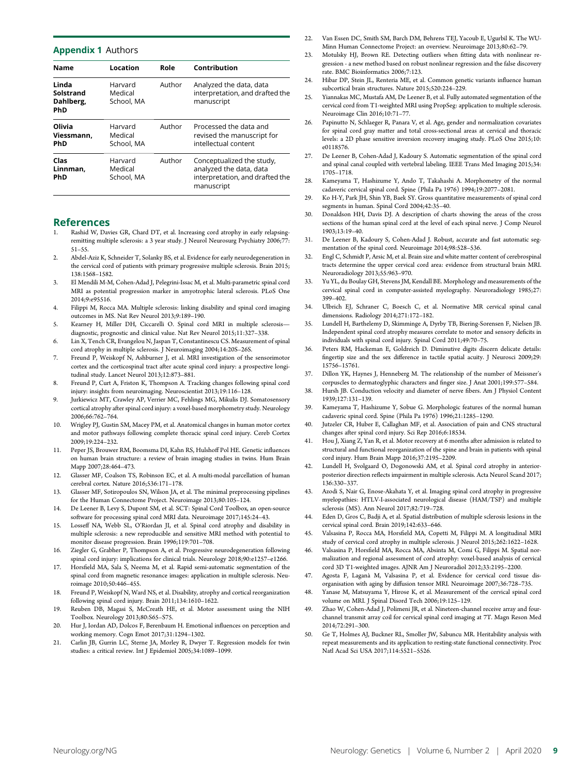### Appendix 1 Authors

| <b>Name</b>                            | Location                         | Role   | Contribution                                                                                          |
|----------------------------------------|----------------------------------|--------|-------------------------------------------------------------------------------------------------------|
| Linda<br>Solstrand<br>Dahlberg,<br>PhD | Harvard<br>Medical<br>School, MA | Author | Analyzed the data, data<br>interpretation, and drafted the<br>manuscript                              |
| Olivia<br>Viessmann,<br><b>PhD</b>     | Harvard<br>Medical<br>School, MA | Author | Processed the data and<br>revised the manuscript for<br>intellectual content                          |
| Clas<br>Linnman,<br><b>PhD</b>         | Harvard<br>Medical<br>School, MA | Author | Conceptualized the study,<br>analyzed the data, data<br>interpretation, and drafted the<br>manuscript |

## References

- Rashid W, Davies GR, Chard DT, et al. Increasing cord atrophy in early relapsingremitting multiple sclerosis: a 3 year study. J Neurol Neurosurg Psychiatry 2006;77: 51–55.
- 2. Abdel-Aziz K, Schneider T, Solanky BS, et al. Evidence for early neurodegeneration in the cervical cord of patients with primary progressive multiple sclerosis. Brain 2015; 138:1568–1582.
- 3. El Mendili M-M, Cohen-Adad J, Pelegrini-Issac M, et al. Multi-parametric spinal cord MRI as potential progression marker in amyotrophic lateral sclerosis. PLoS One 2014;9:e95516.
- 4. Filippi M, Rocca MA. Multiple sclerosis: linking disability and spinal cord imaging outcomes in MS. Nat Rev Neurol 2013;9:189–190.
- 5. Kearney H, Miller DH, Ciccarelli O. Spinal cord MRI in multiple sclerosis diagnostic, prognostic and clinical value. Nat Rev Neurol 2015;11:327–338.
- 6. Lin X, Tench CR, Evangelou N, Jaspan T, Constantinescu CS. Measurement of spinal cord atrophy in multiple sclerosis. J Neuroimaging 2004;14:20S–26S.
- 7. Freund P, Weiskopf N, Ashburner J, et al. MRI investigation of the sensorimotor cortex and the corticospinal tract after acute spinal cord injury: a prospective longitudinal study. Lancet Neurol 2013;12:873–881.
- 8. Freund P, Curt A, Friston K, Thompson A. Tracking changes following spinal cord injury: insights from neuroimaging. Neuroscientist 2013;19:116–128.
- Jurkiewicz MT, Crawley AP, Verrier MC, Fehlings MG, Mikulis DJ. Somatosensory cortical atrophy after spinal cord injury: a voxel-based morphometry study. Neurology 2006;66:762–764.
- 10. Wrigley PJ, Gustin SM, Macey PM, et al. Anatomical changes in human motor cortex and motor pathways following complete thoracic spinal cord injury. Cereb Cortex 2009;19:224–232.
- 11. Peper JS, Brouwer RM, Boomsma DI, Kahn RS, Hulshoff Pol HE. Genetic influences on human brain structure: a review of brain imaging studies in twins. Hum Brain Mapp 2007;28:464–473.
- 12. Glasser MF, Coalson TS, Robinson EC, et al. A multi-modal parcellation of human cerebral cortex. Nature 2016;536:171–178.
- 13. Glasser MF, Sotiropoulos SN, Wilson JA, et al. The minimal preprocessing pipelines for the Human Connectome Project. Neuroimage 2013;80:105–124.
- 14. De Leener B, Levy S, Dupont SM, et al. SCT: Spinal Cord Toolbox, an open-source software for processing spinal cord MRI data. Neuroimage 2017;145:24–43.
- 15. Losseff NA, Webb SL, O'Riordan JI, et al. Spinal cord atrophy and disability in multiple sclerosis: a new reproducible and sensitive MRI method with potential to monitor disease progression. Brain 1996;119:701–708.
- 16. Ziegler G, Grabher P, Thompson A, et al. Progressive neurodegeneration following spinal cord injury: implications for clinical trials. Neurology 2018;90:e1257–e1266.
- 17. Horsfield MA, Sala S, Neema M, et al. Rapid semi-automatic segmentation of the spinal cord from magnetic resonance images: application in multiple sclerosis. Neuroimage 2010;50:446–455.
- 18. Freund P, Weiskopf N, Ward NS, et al. Disability, atrophy and cortical reorganization following spinal cord injury. Brain 2011;134:1610–1622.
- 19. Reuben DB, Magasi S, McCreath HE, et al. Motor assessment using the NIH Toolbox. Neurology 2013;80:S65–S75.
- 20. Hur J, Iordan AD, Dolcos F, Berenbaum H. Emotional influences on perception and working memory. Cogn Emot 2017;31:1294–1302.
- 21. Carlin JB, Gurrin LC, Sterne JA, Morley R, Dwyer T. Regression models for twin studies: a critical review. Int J Epidemiol 2005;34:1089–1099.
- 22. Van Essen DC, Smith SM, Barch DM, Behrens TEJ, Yacoub E, Ugurbil K. The WU-Minn Human Connectome Project: an overview. Neuroimage 2013;80:62–79.
- 23. Motulsky HJ, Brown RE. Detecting outliers when fitting data with nonlinear regression - a new method based on robust nonlinear regression and the false discovery rate. BMC Bioinformatics 2006;7:123.
- 24. Hibar DP, Stein JL, Renteria ME, et al. Common genetic variants influence human subcortical brain structures. Nature 2015;520:224–229.
- 25. Yiannakas MC, Mustafa AM, De Leener B, et al. Fully automated segmentation of the cervical cord from T1-weighted MRI using PropSeg: application to multiple sclerosis. Neuroimage Clin 2016;10:71–77.
- 26. Papinutto N, Schlaeger R, Panara V, et al. Age, gender and normalization covariates for spinal cord gray matter and total cross-sectional areas at cervical and thoracic levels: a 2D phase sensitive inversion recovery imaging study. PLoS One 2015;10: e0118576.
- 27. De Leener B, Cohen-Adad J, Kadoury S. Automatic segmentation of the spinal cord and spinal canal coupled with vertebral labeling. IEEE Trans Med Imaging 2015;34: 1705–1718.
- 28. Kameyama T, Hashizume Y, Ando T, Takahashi A. Morphometry of the normal cadaveric cervical spinal cord. Spine (Phila Pa 1976) 1994;19:2077–2081.
- 29. Ko H-Y, Park JH, Shin YB, Baek SY. Gross quantitative measurements of spinal cord segments in human. Spinal Cord 2004;42:35–40.
- 30. Donaldson HH, Davis DJ. A description of charts showing the areas of the cross sections of the human spinal cord at the level of each spinal nerve. J Comp Neurol 1903;13:19–40.
- 31. De Leener B, Kadoury S, Cohen-Adad J. Robust, accurate and fast automatic segmentation of the spinal cord. Neuroimage 2014;98:528–536.
- 32. Engl C, Schmidt P, Arsic M, et al. Brain size and white matter content of cerebrospinal tracts determine the upper cervical cord area: evidence from structural brain MRI. Neuroradiology 2013;55:963–970.
- 33. Yu YL, du Boulay GH, Stevens JM, Kendall BE. Morphology and measurements of the cervical spinal cord in computer-assisted myelography. Neuroradiology 1985;27: 399–402.
- 34. Ulbrich EJ, Schraner C, Boesch C, et al. Normative MR cervical spinal canal dimensions. Radiology 2014;271:172–182.
- 35. Lundell H, Barthelemy D, Skimminge A, Dyrby TB, Biering-Sorensen F, Nielsen JB. Independent spinal cord atrophy measures correlate to motor and sensory deficits in individuals with spinal cord injury. Spinal Cord 2011;49:70–75.
- 36. Peters RM, Hackeman E, Goldreich D. Diminutive digits discern delicate details: fingertip size and the sex difference in tactile spatial acuity. J Neurosci 2009;29: 15756–15761.
- Dillon YK, Haynes J, Henneberg M. The relationship of the number of Meissner's corpuscles to dermatoglyphic characters and finger size. J Anat 2001;199:577–584.
- 38. Hursh JB. Conduction velocity and diameter of nerve fibers. Am J Physiol Content 1939;127:131–139.
- 39. Kameyama T, Hashizume Y, Sobue G. Morphologic features of the normal human cadaveric spinal cord. Spine (Phila Pa 1976) 1996;21:1285–1290.
- 40. Jutzeler CR, Huber E, Callaghan MF, et al. Association of pain and CNS structural changes after spinal cord injury. Sci Rep 2016;6:18534.
- 41. Hou J, Xiang Z, Yan R, et al. Motor recovery at 6 months after admission is related to structural and functional reorganization of the spine and brain in patients with spinal cord injury. Hum Brain Mapp 2016;37:2195–2209.
- 42. Lundell H, Svolgaard O, Dogonowski AM, et al. Spinal cord atrophy in anteriorposterior direction reflects impairment in multiple sclerosis. Acta Neurol Scand 2017; 136:330–337.
- 43. Azodi S, Nair G, Enose-Akahata Y, et al. Imaging spinal cord atrophy in progressive myelopathies: HTLV-I-associated neurological disease (HAM/TSP) and multiple sclerosis (MS). Ann Neurol 2017;82:719–728.
- 44. Eden D, Gros C, Badji A, et al. Spatial distribution of multiple sclerosis lesions in the cervical spinal cord. Brain 2019;142:633–646.
- 45. Valsasina P, Rocca MA, Horsfield MA, Copetti M, Filippi M. A longitudinal MRI study of cervical cord atrophy in multiple sclerosis. J Neurol 2015;262:1622–1628.
- 46. Valsasina P, Horsfield MA, Rocca MA, Absinta M, Comi G, Filippi M. Spatial normalization and regional assessment of cord atrophy: voxel-based analysis of cervical cord 3D T1-weighted images. AJNR Am J Neuroradiol 2012;33:2195–2200.
- 47. Agosta F, Laganà M, Valsasina P, et al. Evidence for cervical cord tissue disorganisation with aging by diffusion tensor MRI. Neuroimage 2007;36:728–735.
- 48. Yanase M, Matsuyama Y, Hirose K, et al. Measurement of the cervical spinal cord volume on MRI. J Spinal Disord Tech 2006;19:125–129.
- 49. Zhao W, Cohen-Adad J, Polimeni JR, et al. Nineteen-channel receive array and fourchannel transmit array coil for cervical spinal cord imaging at 7T. Magn Reson Med 2014;72:291–300.
- Ge T, Holmes AJ, Buckner RL, Smoller JW, Sabuncu MR. Heritability analysis with repeat measurements and its application to resting-state functional connectivity. Proc Natl Acad Sci USA 2017;114:5521–5526.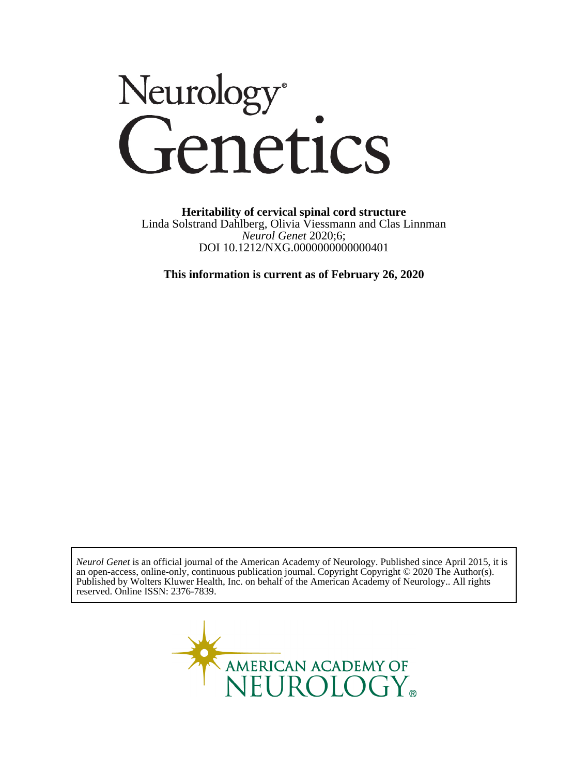# Neurology<sup>®</sup><br>Genetics

DOI 10.1212/NXG.0000000000000401 *Neurol Genet* 2020;6; Linda Solstrand Dahlberg, Olivia Viessmann and Clas Linnman **Heritability of cervical spinal cord structure**

**This information is current as of February 26, 2020**

reserved. Online ISSN: 2376-7839. Published by Wolters Kluwer Health, Inc. on behalf of the American Academy of Neurology.. All rights an open-access, online-only, continuous publication journal. Copyright Copyright © 2020 The Author(s). *Neurol Genet* is an official journal of the American Academy of Neurology. Published since April 2015, it is

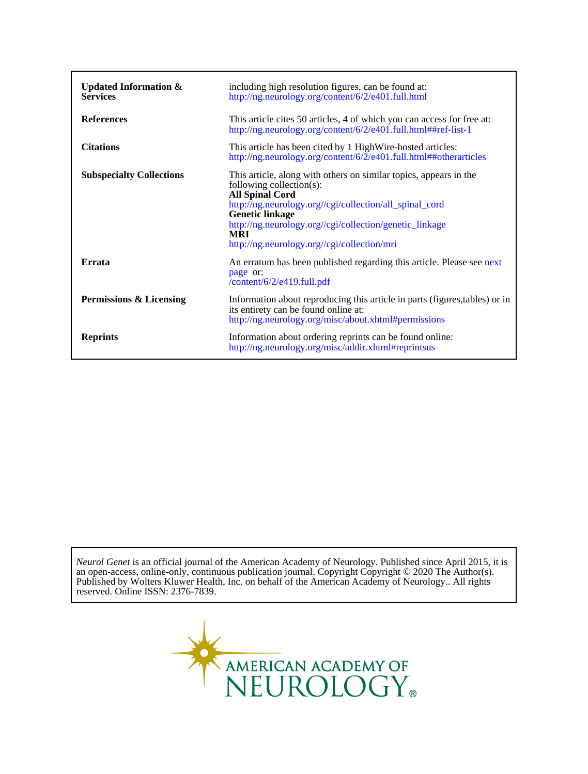| <b>Updated Information &amp;</b><br><b>Services</b> | including high resolution figures, can be found at:<br>http://ng.neurology.org/content/6/2/e401.full.html                                                                                                                                                                                                                            |
|-----------------------------------------------------|--------------------------------------------------------------------------------------------------------------------------------------------------------------------------------------------------------------------------------------------------------------------------------------------------------------------------------------|
| <b>References</b>                                   | This article cites 50 articles, 4 of which you can access for free at:<br>http://ng.neurology.org/content/6/2/e401.full.html##ref-list-1                                                                                                                                                                                             |
| <b>Citations</b>                                    | This article has been cited by 1 High Wire-hosted articles:<br>http://ng.neurology.org/content/6/2/e401.full.html##otherarticles                                                                                                                                                                                                     |
| <b>Subspecialty Collections</b>                     | This article, along with others on similar topics, appears in the<br>following collection(s):<br><b>All Spinal Cord</b><br>http://ng.neurology.org//cgi/collection/all_spinal_cord<br><b>Genetic linkage</b><br>http://ng.neurology.org//cgi/collection/genetic_linkage<br><b>MRI</b><br>http://ng.neurology.org//cgi/collection/mri |
| Errata                                              | An erratum has been published regarding this article. Please see next<br>page or:<br>/content/6/2/e419.full.pdf                                                                                                                                                                                                                      |
| <b>Permissions &amp; Licensing</b>                  | Information about reproducing this article in parts (figures, tables) or in<br>its entirety can be found online at:<br>http://ng.neurology.org/misc/about.xhtml#permissions                                                                                                                                                          |
| <b>Reprints</b>                                     | Information about ordering reprints can be found online:<br>http://ng.neurology.org/misc/addir.xhtml#reprintsus                                                                                                                                                                                                                      |

reserved. Online ISSN: 2376-7839. Published by Wolters Kluwer Health, Inc. on behalf of the American Academy of Neurology.. All rights an open-access, online-only, continuous publication journal. Copyright Copyright © 2020 The Author(s). *Neurol Genet* is an official journal of the American Academy of Neurology. Published since April 2015, it is